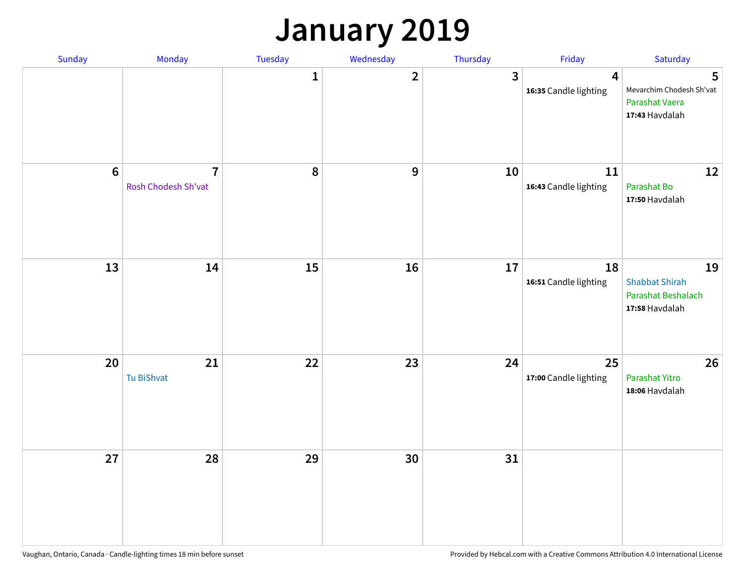### **January 2019**

| Sunday  | Monday                                | Tuesday          | Wednesday      | Thursday     | Friday                          | Saturday                                                            |
|---------|---------------------------------------|------------------|----------------|--------------|---------------------------------|---------------------------------------------------------------------|
|         |                                       | $\mathbf{1}$     | $\overline{2}$ | $\mathbf{3}$ | 4<br>16:35 Candle lighting      | 5<br>Mevarchim Chodesh Sh'vat<br>Parashat Vaera<br>17:43 Havdalah   |
| $\bf 6$ | $\overline{7}$<br>Rosh Chodesh Sh'vat | $\boldsymbol{8}$ | 9              | 10           | $11\,$<br>16:43 Candle lighting | 12<br>Parashat Bo<br>17:50 Havdalah                                 |
| 13      | 14                                    | 15               | 16             | 17           | 18<br>16:51 Candle lighting     | 19<br><b>Shabbat Shirah</b><br>Parashat Beshalach<br>17:58 Havdalah |
| 20      | 21<br>Tu BiShvat                      | 22               | 23             | 24           | 25<br>17:00 Candle lighting     | 26<br>Parashat Yitro<br>18:06 Havdalah                              |
| 27      | 28                                    | 29               | 30             | 31           |                                 |                                                                     |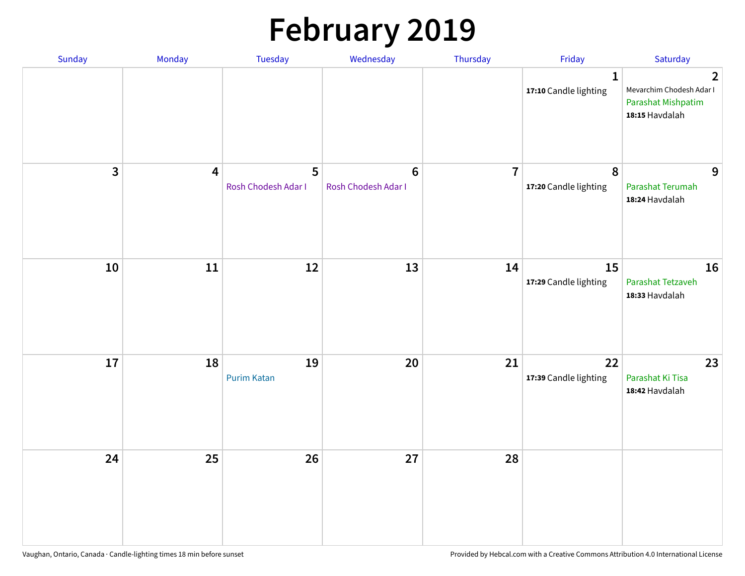# **February 2019**

| Sunday | Monday                  | Tuesday                  | Wednesday                             | Thursday       | Friday                                | Saturday                                                                                  |
|--------|-------------------------|--------------------------|---------------------------------------|----------------|---------------------------------------|-------------------------------------------------------------------------------------------|
|        |                         |                          |                                       |                | $\mathbf{1}$<br>17:10 Candle lighting | $\overline{2}$<br>Mevarchim Chodesh Adar I<br><b>Parashat Mishpatim</b><br>18:15 Havdalah |
| 3      | $\overline{\mathbf{4}}$ | 5<br>Rosh Chodesh Adar I | $6\phantom{1}$<br>Rosh Chodesh Adar I | $\overline{7}$ | $\pmb{8}$<br>17:20 Candle lighting    | 9<br>Parashat Terumah<br>18:24 Havdalah                                                   |
| 10     | ${\bf 11}$              | 12                       | 13                                    | 14             | 15<br>17:29 Candle lighting           | 16<br>Parashat Tetzaveh<br>18:33 Havdalah                                                 |
| 17     | 18                      | 19<br><b>Purim Katan</b> | $20\,$                                | 21             | 22<br>17:39 Candle lighting           | 23<br>Parashat Ki Tisa<br>18:42 Havdalah                                                  |
| 24     | 25                      | 26                       | 27                                    | 28             |                                       |                                                                                           |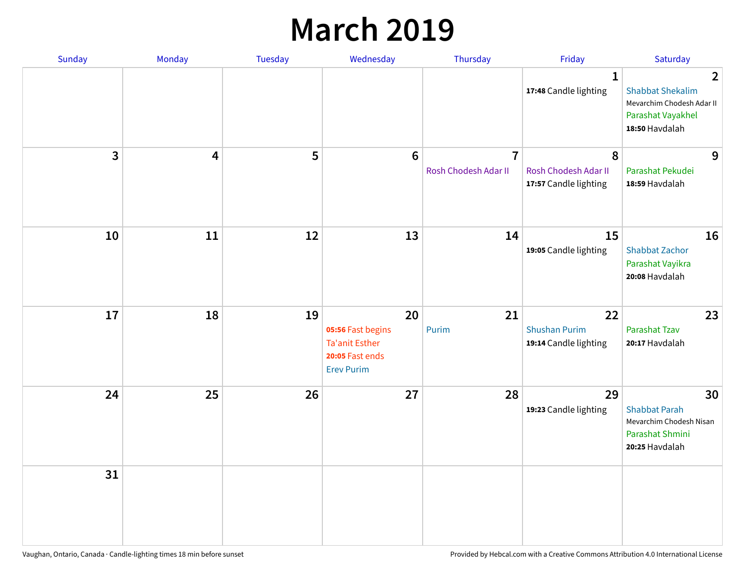### **March 2019**

| Sunday       | Monday | Tuesday | Wednesday                                                                                | Thursday                               | Friday                                              | Saturday                                                                                                      |
|--------------|--------|---------|------------------------------------------------------------------------------------------|----------------------------------------|-----------------------------------------------------|---------------------------------------------------------------------------------------------------------------|
|              |        |         |                                                                                          |                                        | $\mathbf{1}$<br>17:48 Candle lighting               | $\overline{2}$<br><b>Shabbat Shekalim</b><br>Mevarchim Chodesh Adar II<br>Parashat Vayakhel<br>18:50 Havdalah |
| $\mathbf{3}$ | 4      | 5       | $6\phantom{1}6$                                                                          | $\overline{7}$<br>Rosh Chodesh Adar II | 8<br>Rosh Chodesh Adar II<br>17:57 Candle lighting  | 9<br>Parashat Pekudei<br>18:59 Havdalah                                                                       |
| 10           | 11     | 12      | 13                                                                                       | 14                                     | 15<br>19:05 Candle lighting                         | 16<br><b>Shabbat Zachor</b><br>Parashat Vayikra<br>20:08 Havdalah                                             |
| 17           | 18     | 19      | 20<br>05:56 Fast begins<br><b>Ta'anit Esther</b><br>20:05 Fast ends<br><b>Erev Purim</b> | 21<br>Purim                            | 22<br><b>Shushan Purim</b><br>19:14 Candle lighting | 23<br>Parashat Tzav<br>20:17 Havdalah                                                                         |
| 24           | 25     | 26      | 27                                                                                       | 28                                     | 29<br>19:23 Candle lighting                         | 30<br><b>Shabbat Parah</b><br>Mevarchim Chodesh Nisan<br>Parashat Shmini<br>20:25 Havdalah                    |
| 31           |        |         |                                                                                          |                                        |                                                     |                                                                                                               |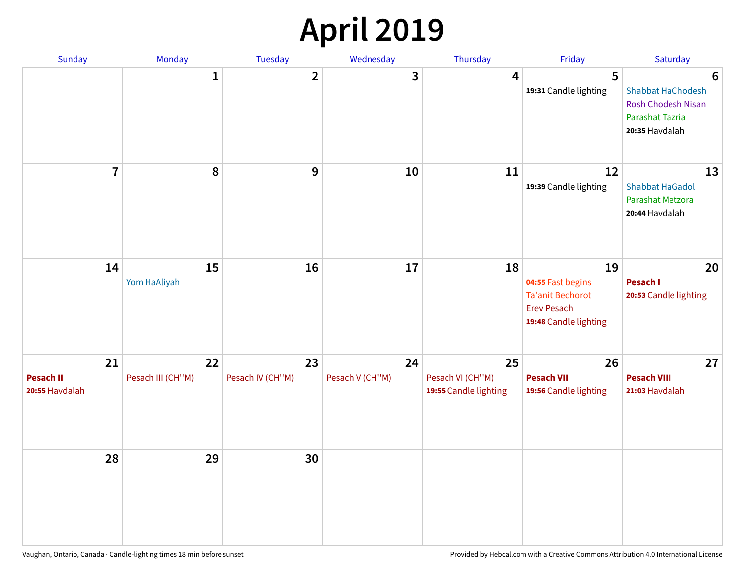## **April 2019**

| Sunday                            | Monday                  | Tuesday                | Wednesday             | Thursday                                        | Friday                                                                                            | Saturday                                                                                        |
|-----------------------------------|-------------------------|------------------------|-----------------------|-------------------------------------------------|---------------------------------------------------------------------------------------------------|-------------------------------------------------------------------------------------------------|
|                                   | $\mathbf{1}$            | $\overline{2}$         | 3                     | 4                                               | 5<br>19:31 Candle lighting                                                                        | 6<br>Shabbat HaChodesh<br><b>Rosh Chodesh Nisan</b><br><b>Parashat Tazria</b><br>20:35 Havdalah |
| $\overline{7}$                    | 8                       | $\boldsymbol{9}$       | 10                    | 11                                              | 12<br>19:39 Candle lighting                                                                       | 13<br><b>Shabbat HaGadol</b><br>Parashat Metzora<br>20:44 Havdalah                              |
| 14                                | 15<br>Yom HaAliyah      | 16                     | 17                    | 18                                              | 19<br>04:55 Fast begins<br><b>Ta'anit Bechorot</b><br><b>Erev Pesach</b><br>19:48 Candle lighting | 20<br>Pesach I<br>20:53 Candle lighting                                                         |
| 21<br>Pesach II<br>20:55 Havdalah | 22<br>Pesach III (CH"M) | 23<br>Pesach IV (CH"M) | 24<br>Pesach V (CH"M) | 25<br>Pesach VI (CH"M)<br>19:55 Candle lighting | 26<br><b>Pesach VII</b><br>19:56 Candle lighting                                                  | 27<br><b>Pesach VIII</b><br>21:03 Havdalah                                                      |
| 28                                | 29                      | 30                     |                       |                                                 |                                                                                                   |                                                                                                 |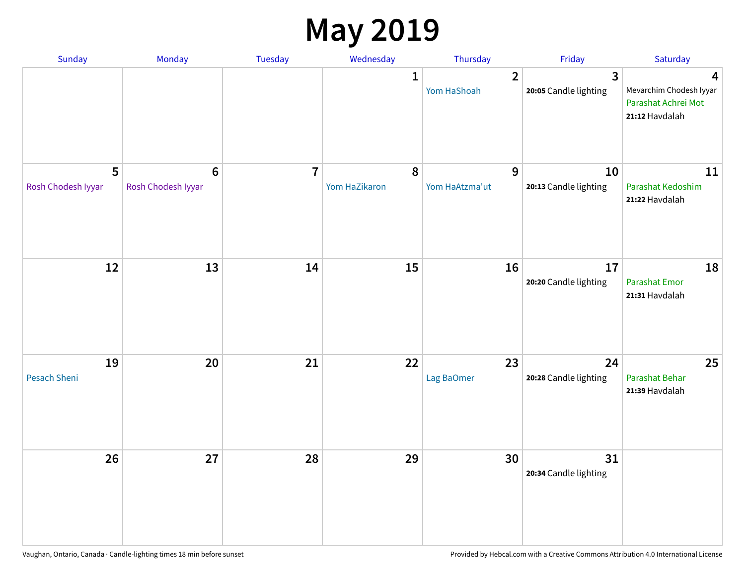### **May 2019**

| Sunday                    | Monday                                 | Tuesday                 | Wednesday                  | Thursday                      | Friday                                  | Saturday                                                              |
|---------------------------|----------------------------------------|-------------------------|----------------------------|-------------------------------|-----------------------------------------|-----------------------------------------------------------------------|
|                           |                                        |                         | 1                          | $\overline{2}$<br>Yom HaShoah | $\overline{3}$<br>20:05 Candle lighting | 4<br>Mevarchim Chodesh Iyyar<br>Parashat Achrei Mot<br>21:12 Havdalah |
| 5<br>Rosh Chodesh Iyyar   | $\boldsymbol{6}$<br>Rosh Chodesh Iyyar | $\overline{\mathbf{r}}$ | $\pmb{8}$<br>Yom HaZikaron | 9<br>Yom HaAtzma'ut           | 10<br>20:13 Candle lighting             | 11<br>Parashat Kedoshim<br>21:22 Havdalah                             |
| 12                        | 13                                     | 14                      | 15                         | 16                            | 17<br>20:20 Candle lighting             | 18<br>Parashat Emor<br>21:31 Havdalah                                 |
| 19<br><b>Pesach Sheni</b> | 20                                     | 21                      | 22                         | 23<br>Lag BaOmer              | 24<br>20:28 Candle lighting             | 25<br>Parashat Behar<br>21:39 Havdalah                                |
| 26                        | 27                                     | 28                      | 29                         | 30                            | 31<br>20:34 Candle lighting             |                                                                       |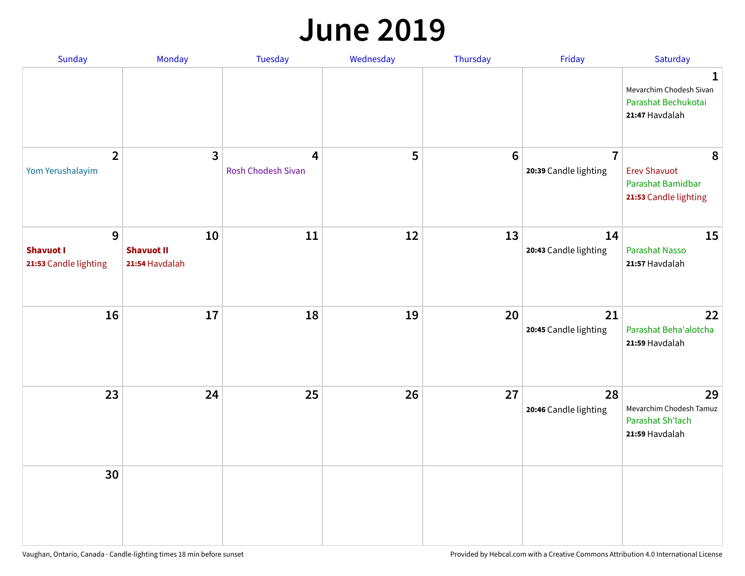#### **June 2019**

| Sunday                                         | Monday                                    | Tuesday                 | Wednesday | Thursday        | Friday                                  | Saturday                                                               |
|------------------------------------------------|-------------------------------------------|-------------------------|-----------|-----------------|-----------------------------------------|------------------------------------------------------------------------|
|                                                |                                           |                         |           |                 |                                         | 1<br>Mevarchim Chodesh Sivan<br>Parashat Bechukotai<br>21:47 Havdalah  |
| $\overline{2}$<br>Yom Yerushalayim             | $\mathbf{3}$                              | 4<br>Rosh Chodesh Sivan | 5         | $6\phantom{1}6$ | $\overline{7}$<br>20:39 Candle lighting | 8<br><b>Erev Shavuot</b><br>Parashat Bamidbar<br>21:53 Candle lighting |
| 9<br><b>Shavuot I</b><br>21:53 Candle lighting | 10<br><b>Shavuot II</b><br>21:54 Havdalah | 11                      | 12        | 13              | 14<br>20:43 Candle lighting             | 15<br><b>Parashat Nasso</b><br>21:57 Havdalah                          |
| 16                                             | 17                                        | 18                      | 19        | 20              | 21<br>20:45 Candle lighting             | 22<br>Parashat Beha'alotcha<br>21:59 Havdalah                          |
| 23                                             | 24                                        | 25                      | 26        | 27              | 28<br>20:46 Candle lighting             | 29<br>Mevarchim Chodesh Tamuz<br>Parashat Sh'lach<br>21:59 Havdalah    |
| 30                                             |                                           |                         |           |                 |                                         |                                                                        |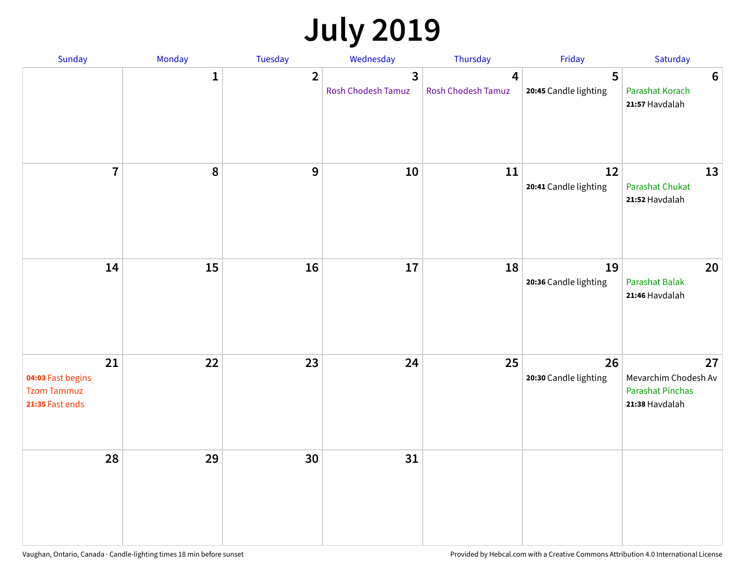## **July 2019**

| Sunday                                                           | Monday       | Tuesday        | Wednesday                                   | Thursday                | Friday                      | Saturday                                                                |
|------------------------------------------------------------------|--------------|----------------|---------------------------------------------|-------------------------|-----------------------------|-------------------------------------------------------------------------|
|                                                                  | $\mathbf{1}$ | $\overline{2}$ | $\overline{3}$<br><b>Rosh Chodesh Tamuz</b> | 4<br>Rosh Chodesh Tamuz | 5<br>20:45 Candle lighting  | 6<br>Parashat Korach<br>21:57 Havdalah                                  |
| $\overline{7}$                                                   | 8            | $\overline{9}$ | 10                                          | 11                      | 12<br>20:41 Candle lighting | 13<br>Parashat Chukat<br>21:52 Havdalah                                 |
| 14                                                               | 15           | 16             | 17                                          | 18                      | 19<br>20:36 Candle lighting | 20<br><b>Parashat Balak</b><br>21:46 Havdalah                           |
| 21<br>04:03 Fast begins<br><b>Tzom Tammuz</b><br>21:35 Fast ends | 22           | 23             | 24                                          | 25                      | 26<br>20:30 Candle lighting | 27<br>Mevarchim Chodesh Av<br><b>Parashat Pinchas</b><br>21:38 Havdalah |
| 28                                                               | 29           | 30             | 31                                          |                         |                             |                                                                         |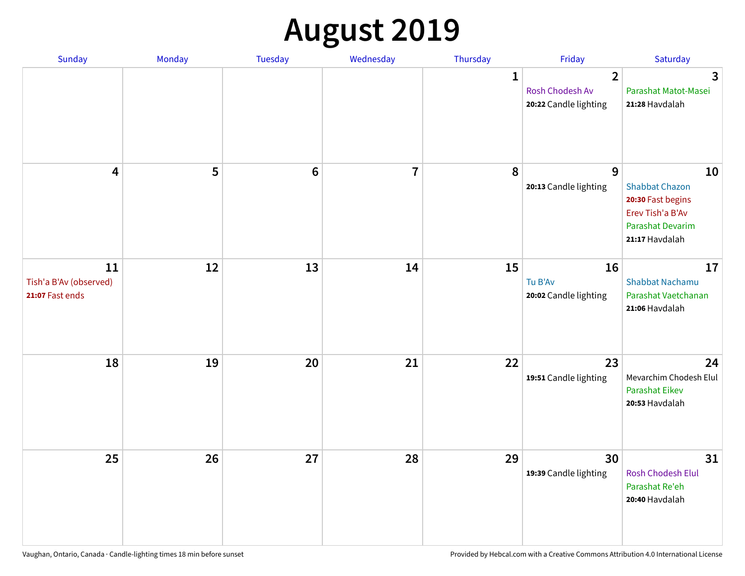## **August 2019**

| Sunday                                          | Monday | Tuesday         | Wednesday               | Thursday     | Friday                                                     | Saturday                                                                                                   |
|-------------------------------------------------|--------|-----------------|-------------------------|--------------|------------------------------------------------------------|------------------------------------------------------------------------------------------------------------|
|                                                 |        |                 |                         | $\mathbf{1}$ | $\overline{2}$<br>Rosh Chodesh Av<br>20:22 Candle lighting | $\overline{\mathbf{3}}$<br>Parashat Matot-Masei<br>21:28 Havdalah                                          |
| $\overline{\mathbf{4}}$                         | 5      | $6\phantom{1}6$ | $\overline{\mathbf{I}}$ | 8            | 9<br>20:13 Candle lighting                                 | 10<br><b>Shabbat Chazon</b><br>20:30 Fast begins<br>Erev Tish'a B'Av<br>Parashat Devarim<br>21:17 Havdalah |
| 11<br>Tish'a B'Av (observed)<br>21:07 Fast ends | 12     | 13              | 14                      | 15           | 16<br>Tu B'Av<br>20:02 Candle lighting                     | 17<br><b>Shabbat Nachamu</b><br>Parashat Vaetchanan<br>21:06 Havdalah                                      |
| 18                                              | 19     | 20              | 21                      | 22           | 23<br>19:51 Candle lighting                                | 24<br>Mevarchim Chodesh Elul<br><b>Parashat Eikev</b><br>20:53 Havdalah                                    |
| 25                                              | 26     | 27              | 28                      | 29           | 30<br>19:39 Candle lighting                                | 31<br><b>Rosh Chodesh Elul</b><br>Parashat Re'eh<br>20:40 Havdalah                                         |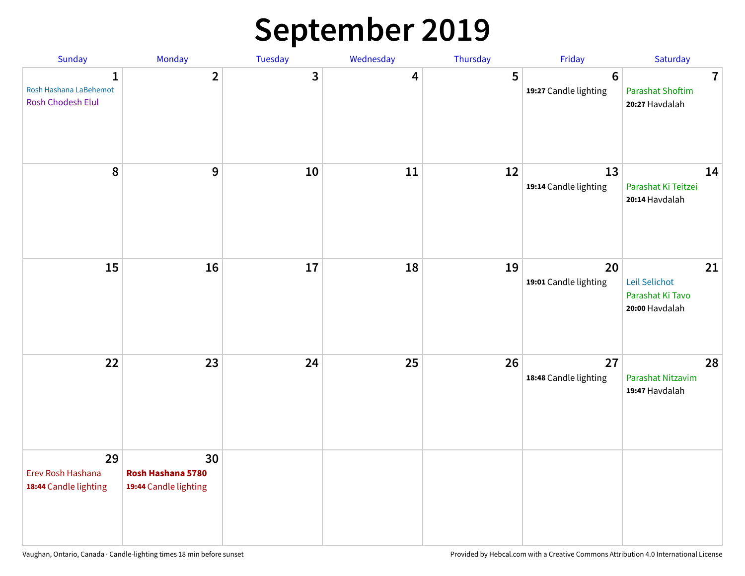### **September 2019**

| Sunday                                                      | Monday                                           | Tuesday | Wednesday | Thursday | Friday                                  | Saturday                                                    |
|-------------------------------------------------------------|--------------------------------------------------|---------|-----------|----------|-----------------------------------------|-------------------------------------------------------------|
| $\mathbf{1}$<br>Rosh Hashana LaBehemot<br>Rosh Chodesh Elul | $\overline{2}$                                   | 3       | 4         | 5        | $6\phantom{1}$<br>19:27 Candle lighting | $\overline{7}$<br><b>Parashat Shoftim</b><br>20:27 Havdalah |
| 8                                                           | $\mathbf{9}$                                     | $10\,$  | 11        | 12       | 13<br>19:14 Candle lighting             | 14<br>Parashat Ki Teitzei<br>20:14 Havdalah                 |
| 15                                                          | 16                                               | 17      | 18        | 19       | 20<br>19:01 Candle lighting             | 21<br>Leil Selichot<br>Parashat Ki Tavo<br>20:00 Havdalah   |
| 22                                                          | 23                                               | 24      | 25        | 26       | 27<br>18:48 Candle lighting             | 28<br>Parashat Nitzavim<br>19:47 Havdalah                   |
| 29<br>Erev Rosh Hashana<br>18:44 Candle lighting            | 30<br>Rosh Hashana 5780<br>19:44 Candle lighting |         |           |          |                                         |                                                             |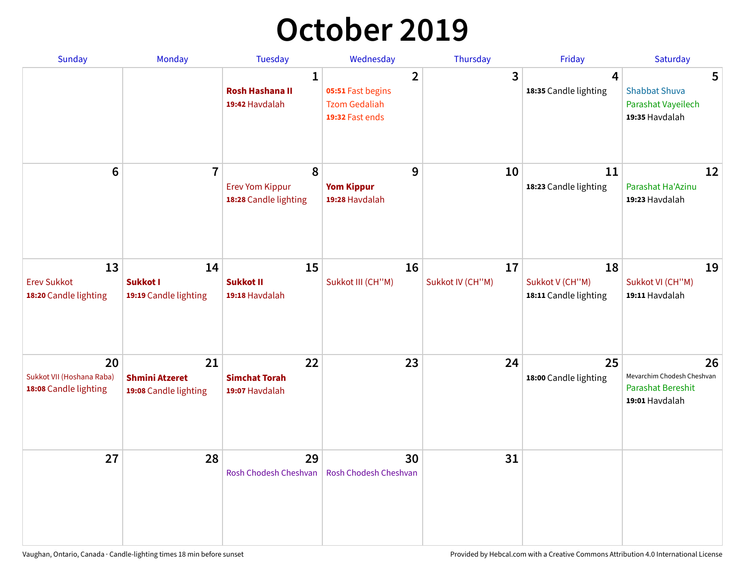## **October 2019**

| Sunday                                                   | <b>Monday</b>                                        | <b>Tuesday</b>                                           | Wednesday                                                                      | Thursday               | Friday                                         | Saturday                                                                       |
|----------------------------------------------------------|------------------------------------------------------|----------------------------------------------------------|--------------------------------------------------------------------------------|------------------------|------------------------------------------------|--------------------------------------------------------------------------------|
|                                                          |                                                      | $\mathbf{1}$<br><b>Rosh Hashana II</b><br>19:42 Havdalah | $\overline{2}$<br>05:51 Fast begins<br><b>Tzom Gedaliah</b><br>19:32 Fast ends | 3                      | $\overline{4}$<br>18:35 Candle lighting        | 5<br><b>Shabbat Shuva</b><br>Parashat Vayeilech<br>19:35 Havdalah              |
| $6\phantom{1}$                                           | $\overline{7}$                                       | 8<br><b>Erev Yom Kippur</b><br>18:28 Candle lighting     | 9<br><b>Yom Kippur</b><br>19:28 Havdalah                                       | 10                     | 11<br>18:23 Candle lighting                    | 12<br>Parashat Ha'Azinu<br>19:23 Havdalah                                      |
| 13<br><b>Erev Sukkot</b><br>18:20 Candle lighting        | 14<br>Sukkot I<br>19:19 Candle lighting              | 15<br><b>Sukkot II</b><br>19:18 Havdalah                 | 16<br>Sukkot III (CH"M)                                                        | 17<br>Sukkot IV (CH"M) | 18<br>Sukkot V (CH"M)<br>18:11 Candle lighting | 19<br>Sukkot VI (CH"M)<br>19:11 Havdalah                                       |
| 20<br>Sukkot VII (Hoshana Raba)<br>18:08 Candle lighting | 21<br><b>Shmini Atzeret</b><br>19:08 Candle lighting | 22<br><b>Simchat Torah</b><br>19:07 Havdalah             | 23                                                                             | 24                     | 25<br>18:00 Candle lighting                    | 26<br>Mevarchim Chodesh Cheshvan<br><b>Parashat Bereshit</b><br>19:01 Havdalah |
| 27                                                       | 28                                                   | 29<br>Rosh Chodesh Cheshvan                              | 30<br>Rosh Chodesh Cheshvan                                                    | 31                     |                                                |                                                                                |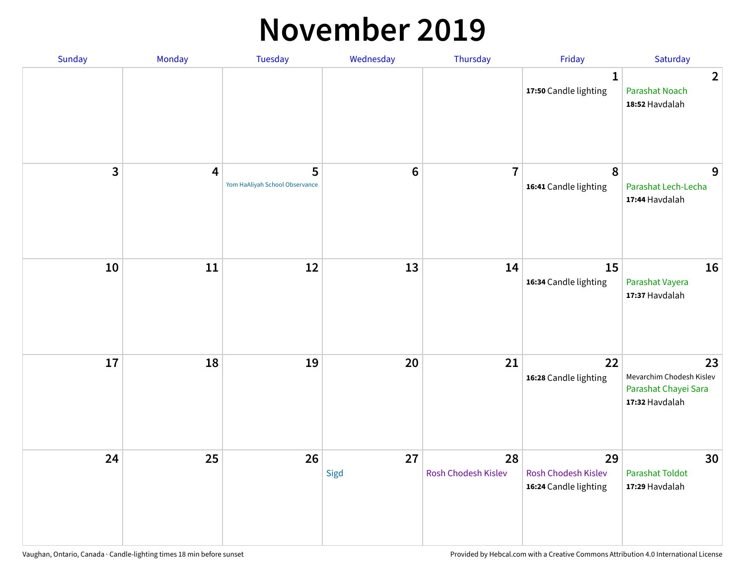#### **November 2019**

| Sunday | Monday                  | <b>Tuesday</b>                      | Wednesday      | Thursday                  | Friday                                                    | Saturday                                                                 |
|--------|-------------------------|-------------------------------------|----------------|---------------------------|-----------------------------------------------------------|--------------------------------------------------------------------------|
|        |                         |                                     |                |                           | $\mathbf{1}$<br>17:50 Candle lighting                     | $\overline{2}$<br><b>Parashat Noach</b><br>18:52 Havdalah                |
| 3      | $\overline{\mathbf{4}}$ | 5<br>Yom HaAliyah School Observance | $6\phantom{1}$ | $\overline{7}$            | 8<br>16:41 Candle lighting                                | 9<br>Parashat Lech-Lecha<br>17:44 Havdalah                               |
| 10     | 11                      | 12                                  | 13             | 14                        | 15<br>16:34 Candle lighting                               | 16<br>Parashat Vayera<br>17:37 Havdalah                                  |
| 17     | 18                      | 19                                  | 20             | 21                        | 22<br>16:28 Candle lighting                               | 23<br>Mevarchim Chodesh Kislev<br>Parashat Chayei Sara<br>17:32 Havdalah |
| 24     | 25                      | 26                                  | 27<br>Sigd     | 28<br>Rosh Chodesh Kislev | 29<br><b>Rosh Chodesh Kislev</b><br>16:24 Candle lighting | 30<br><b>Parashat Toldot</b><br>17:29 Havdalah                           |